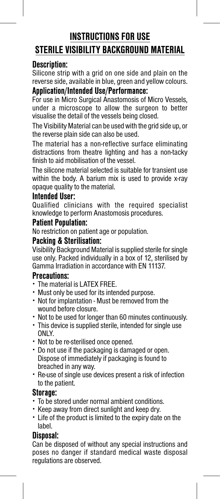# **INSTRUCTIONS FOR USE STERILE VISIBILITY BACKGROUND MATERIAL**

## **Description:**

Silicone strip with a grid on one side and plain on the reverse side, available in blue, green and yellow colours.

## **Application/Intended Use/Performance:**

For use in Micro Surgical Anastomosis of Micro Vessels, under a microscope to allow the surgeon to better visualise the detail of the vessels being closed.

The Visibility Material can be used with the grid side up, or the reverse plain side can also be used.

The material has a non-reflective surface eliminating distractions from theatre lighting and has a non-tacky finish to aid mobilisation of the vessel.

The silicone material selected is suitable for transient use within the body. A barium mix is used to provide x-ray opaque quality to the material.

#### **Intended User:**

Qualified clinicians with the required specialist knowledge to perform Anastomosis procedures.

### **Patient Population:**

No restriction on patient age or population.

### **Packing & Sterilisation:**

Visibility Background Material is supplied sterile for single use only. Packed individually in a box of 12, sterilised by Gamma Irradiation in accordance with EN 11137.

### **Precautions:**

- · The material is LATEX FREE.
- · Must only be used for its intended purpose.
- · Not for implantation Must be removed from the wound before closure.
- · Not to be used for longer than 60 minutes continuously.
- · This device is supplied sterile, intended for single use ONLY.
- · Not to be re-sterilised once opened.
- · Do not use if the packaging is damaged or open. Dispose of immediately if packaging is found to breached in any way.
- · Re-use of single use devices present a risk of infection to the patient.

### **Storage:**

- · To be stored under normal ambient conditions.
- · Keep away from direct sunlight and keep dry.
- · Life of the product is limited to the expiry date on the label.

### **Disposal:**

Can be disposed of without any special instructions and poses no danger if standard medical waste disposal regulations are observed.